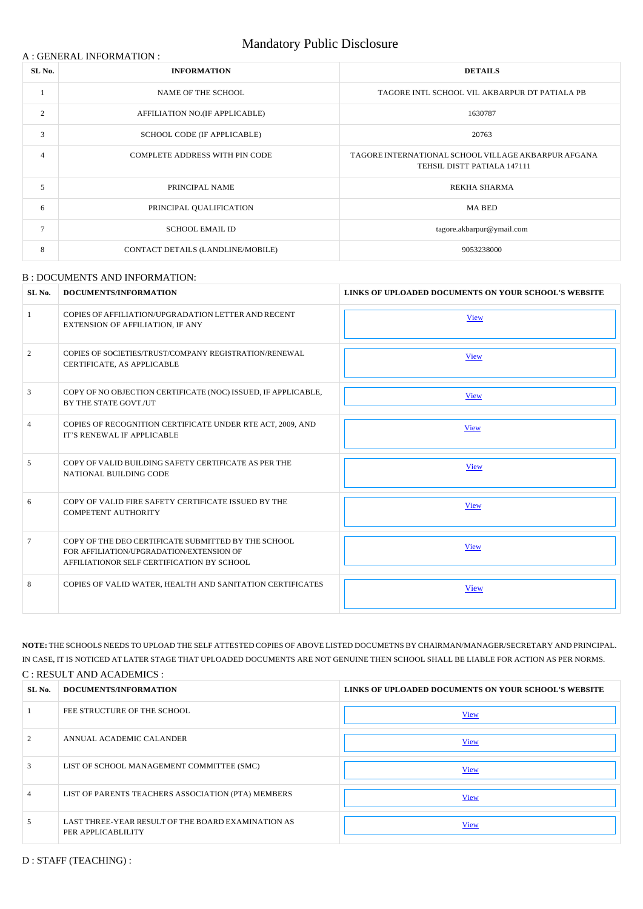### A : GENERAL INFORMATION :

# Mandatory Public Disclosure

| SL <sub>No.</sub> | <b>INFORMATION</b>                    | <b>DETAILS</b>                                                                     |
|-------------------|---------------------------------------|------------------------------------------------------------------------------------|
|                   | NAME OF THE SCHOOL                    | TAGORE INTL SCHOOL VIL AKBARPUR DT PATIALA PB                                      |
| 2                 | AFFILIATION NO.(IF APPLICABLE)        | 1630787                                                                            |
| 3                 | SCHOOL CODE (IF APPLICABLE)           | 20763                                                                              |
| $\overline{4}$    | <b>COMPLETE ADDRESS WITH PIN CODE</b> | TAGORE INTERNATIONAL SCHOOL VILLAGE AKBARPUR AFGANA<br>TEHSIL DISTT PATIALA 147111 |
| 5                 | PRINCIPAL NAME                        | REKHA SHARMA                                                                       |
| 6                 | PRINCIPAL QUALIFICATION               | <b>MA BED</b>                                                                      |
| $\overline{7}$    | <b>SCHOOL EMAIL ID</b>                | tagore.akbarpur@ymail.com                                                          |
| 8                 | CONTACT DETAILS (LANDLINE/MOBILE)     | 9053238000                                                                         |

#### B : DOCUMENTS AND INFORMATION:

| SL No.         | <b>DOCUMENTS/INFORMATION</b>                                                                                                                  | LINKS OF UPLOADED DOCUMENTS ON YOUR SCHOOL'S WEBSITE |
|----------------|-----------------------------------------------------------------------------------------------------------------------------------------------|------------------------------------------------------|
| $\mathbf{1}$   | COPIES OF AFFILIATION/UPGRADATION LETTER AND RECENT<br>EXTENSION OF AFFILIATION, IF ANY                                                       | <b>View</b>                                          |
| 2              | COPIES OF SOCIETIES/TRUST/COMPANY REGISTRATION/RENEWAL<br>CERTIFICATE, AS APPLICABLE                                                          | <b>View</b>                                          |
| $\mathfrak{Z}$ | COPY OF NO OBJECTION CERTIFICATE (NOC) ISSUED, IF APPLICABLE,<br>BY THE STATE GOVT./UT                                                        | <b>View</b>                                          |
| $\overline{4}$ | COPIES OF RECOGNITION CERTIFICATE UNDER RTE ACT, 2009, AND<br>IT'S RENEWAL IF APPLICABLE                                                      | <b>View</b>                                          |
| 5              | COPY OF VALID BUILDING SAFETY CERTIFICATE AS PER THE<br>NATIONAL BUILDING CODE                                                                | <b>View</b>                                          |
| 6              | COPY OF VALID FIRE SAFETY CERTIFICATE ISSUED BY THE<br><b>COMPETENT AUTHORITY</b>                                                             | <b>View</b>                                          |
| $\tau$         | COPY OF THE DEO CERTIFICATE SUBMITTED BY THE SCHOOL<br>FOR AFFILIATION/UPGRADATION/EXTENSION OF<br>AFFILIATIONOR SELF CERTIFICATION BY SCHOOL | <b>View</b>                                          |
| 8              | COPIES OF VALID WATER, HEALTH AND SANITATION CERTIFICATES                                                                                     | View                                                 |

**NOTE:** THE SCHOOLS NEEDS TO UPLOAD THE SELF ATTESTED COPIES OF ABOVE LISTED DOCUMETNS BY CHAIRMAN/MANAGER/SECRETARY AND PRINCIPAL. IN CASE, IT IS NOTICED AT LATER STAGE THAT UPLOADED DOCUMENTS ARE NOT GENUINE THEN SCHOOL SHALL BE LIABLE FOR ACTION AS PER NORMS.

#### C : RESULT AND ACADEMICS :

| SL No.         | DOCUMENTS/INFORMATION                                                    | LINKS OF UPLOADED DOCUMENTS ON YOUR SCHOOL'S WEBSITE |
|----------------|--------------------------------------------------------------------------|------------------------------------------------------|
|                | FEE STRUCTURE OF THE SCHOOL                                              | <b>View</b>                                          |
| 2              | ANNUAL ACADEMIC CALANDER                                                 | <b>View</b>                                          |
| 3              | LIST OF SCHOOL MANAGEMENT COMMITTEE (SMC)                                | <b>View</b>                                          |
| $\overline{4}$ | LIST OF PARENTS TEACHERS ASSOCIATION (PTA) MEMBERS                       | <b>View</b>                                          |
| 5              | LAST THREE-YEAR RESULT OF THE BOARD EXAMINATION AS<br>PER APPLICABLILITY | <b>View</b>                                          |

D : STAFF (TEACHING) :